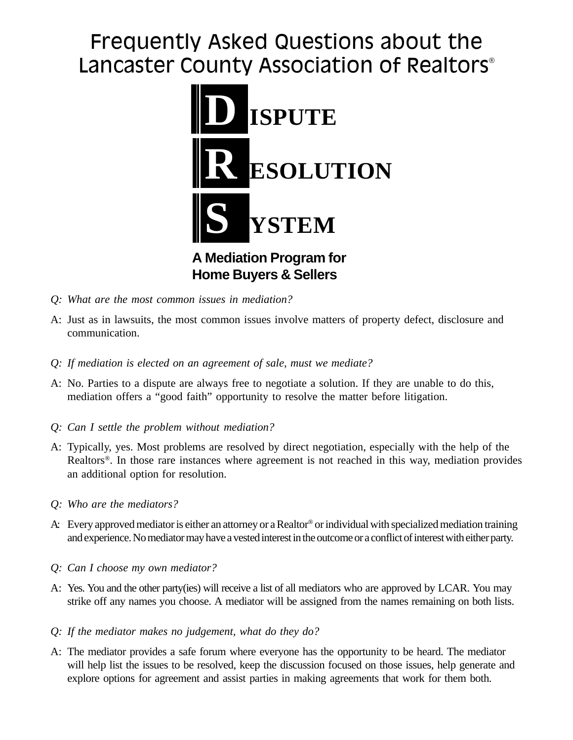## Frequently Asked Questions about the Lancaster County Association of Realtors<sup>®</sup>



**Home Buyers & Sellers**

- *Q: What are the most common issues in mediation?*
- A: Just as in lawsuits, the most common issues involve matters of property defect, disclosure and communication.
- *Q: If mediation is elected on an agreement of sale, must we mediate?*
- A: No. Parties to a dispute are always free to negotiate a solution. If they are unable to do this, mediation offers a "good faith" opportunity to resolve the matter before litigation.
- *Q: Can I settle the problem without mediation?*
- A: Typically, yes. Most problems are resolved by direct negotiation, especially with the help of the Realtors®. In those rare instances where agreement is not reached in this way, mediation provides an additional option for resolution.
- *Q: Who are the mediators?*
- A: Every approved mediator is either an attorney or a Realtor® or individual with specialized mediation training and experience. No mediator may have a vested interest in the outcome or a conflict of interest with either party.
- *Q: Can I choose my own mediator?*
- A: Yes. You and the other party(ies) will receive a list of all mediators who are approved by LCAR. You may strike off any names you choose. A mediator will be assigned from the names remaining on both lists.
- *Q: If the mediator makes no judgement, what do they do?*
- A: The mediator provides a safe forum where everyone has the opportunity to be heard. The mediator will help list the issues to be resolved, keep the discussion focused on those issues, help generate and explore options for agreement and assist parties in making agreements that work for them both.